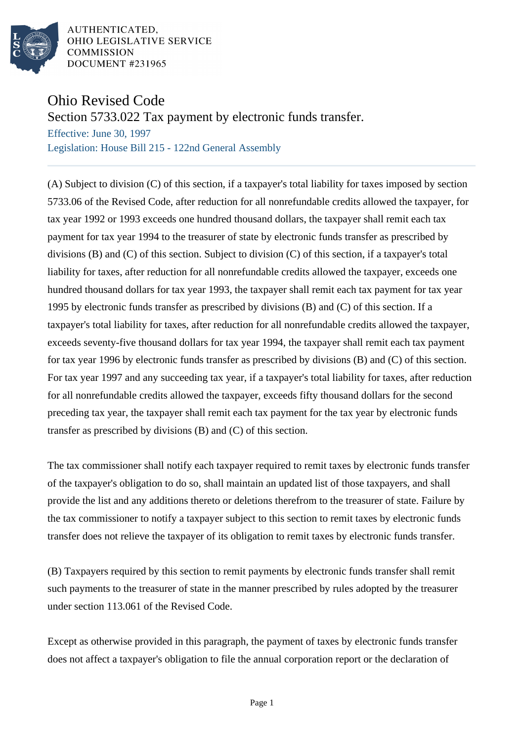

AUTHENTICATED. OHIO LEGISLATIVE SERVICE **COMMISSION DOCUMENT #231965** 

## Ohio Revised Code

Section 5733.022 Tax payment by electronic funds transfer.

Effective: June 30, 1997 Legislation: House Bill 215 - 122nd General Assembly

(A) Subject to division (C) of this section, if a taxpayer's total liability for taxes imposed by section 5733.06 of the Revised Code, after reduction for all nonrefundable credits allowed the taxpayer, for tax year 1992 or 1993 exceeds one hundred thousand dollars, the taxpayer shall remit each tax payment for tax year 1994 to the treasurer of state by electronic funds transfer as prescribed by divisions (B) and (C) of this section. Subject to division (C) of this section, if a taxpayer's total liability for taxes, after reduction for all nonrefundable credits allowed the taxpayer, exceeds one hundred thousand dollars for tax year 1993, the taxpayer shall remit each tax payment for tax year 1995 by electronic funds transfer as prescribed by divisions (B) and (C) of this section. If a taxpayer's total liability for taxes, after reduction for all nonrefundable credits allowed the taxpayer, exceeds seventy-five thousand dollars for tax year 1994, the taxpayer shall remit each tax payment for tax year 1996 by electronic funds transfer as prescribed by divisions (B) and (C) of this section. For tax year 1997 and any succeeding tax year, if a taxpayer's total liability for taxes, after reduction for all nonrefundable credits allowed the taxpayer, exceeds fifty thousand dollars for the second preceding tax year, the taxpayer shall remit each tax payment for the tax year by electronic funds transfer as prescribed by divisions (B) and (C) of this section.

The tax commissioner shall notify each taxpayer required to remit taxes by electronic funds transfer of the taxpayer's obligation to do so, shall maintain an updated list of those taxpayers, and shall provide the list and any additions thereto or deletions therefrom to the treasurer of state. Failure by the tax commissioner to notify a taxpayer subject to this section to remit taxes by electronic funds transfer does not relieve the taxpayer of its obligation to remit taxes by electronic funds transfer.

(B) Taxpayers required by this section to remit payments by electronic funds transfer shall remit such payments to the treasurer of state in the manner prescribed by rules adopted by the treasurer under section 113.061 of the Revised Code.

Except as otherwise provided in this paragraph, the payment of taxes by electronic funds transfer does not affect a taxpayer's obligation to file the annual corporation report or the declaration of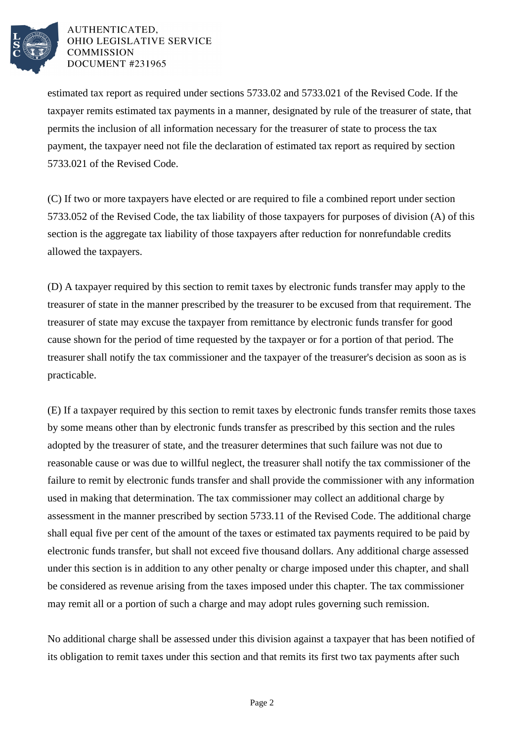

AUTHENTICATED. OHIO LEGISLATIVE SERVICE **COMMISSION DOCUMENT #231965** 

estimated tax report as required under sections 5733.02 and 5733.021 of the Revised Code. If the taxpayer remits estimated tax payments in a manner, designated by rule of the treasurer of state, that permits the inclusion of all information necessary for the treasurer of state to process the tax payment, the taxpayer need not file the declaration of estimated tax report as required by section 5733.021 of the Revised Code.

(C) If two or more taxpayers have elected or are required to file a combined report under section 5733.052 of the Revised Code, the tax liability of those taxpayers for purposes of division (A) of this section is the aggregate tax liability of those taxpayers after reduction for nonrefundable credits allowed the taxpayers.

(D) A taxpayer required by this section to remit taxes by electronic funds transfer may apply to the treasurer of state in the manner prescribed by the treasurer to be excused from that requirement. The treasurer of state may excuse the taxpayer from remittance by electronic funds transfer for good cause shown for the period of time requested by the taxpayer or for a portion of that period. The treasurer shall notify the tax commissioner and the taxpayer of the treasurer's decision as soon as is practicable.

(E) If a taxpayer required by this section to remit taxes by electronic funds transfer remits those taxes by some means other than by electronic funds transfer as prescribed by this section and the rules adopted by the treasurer of state, and the treasurer determines that such failure was not due to reasonable cause or was due to willful neglect, the treasurer shall notify the tax commissioner of the failure to remit by electronic funds transfer and shall provide the commissioner with any information used in making that determination. The tax commissioner may collect an additional charge by assessment in the manner prescribed by section 5733.11 of the Revised Code. The additional charge shall equal five per cent of the amount of the taxes or estimated tax payments required to be paid by electronic funds transfer, but shall not exceed five thousand dollars. Any additional charge assessed under this section is in addition to any other penalty or charge imposed under this chapter, and shall be considered as revenue arising from the taxes imposed under this chapter. The tax commissioner may remit all or a portion of such a charge and may adopt rules governing such remission.

No additional charge shall be assessed under this division against a taxpayer that has been notified of its obligation to remit taxes under this section and that remits its first two tax payments after such